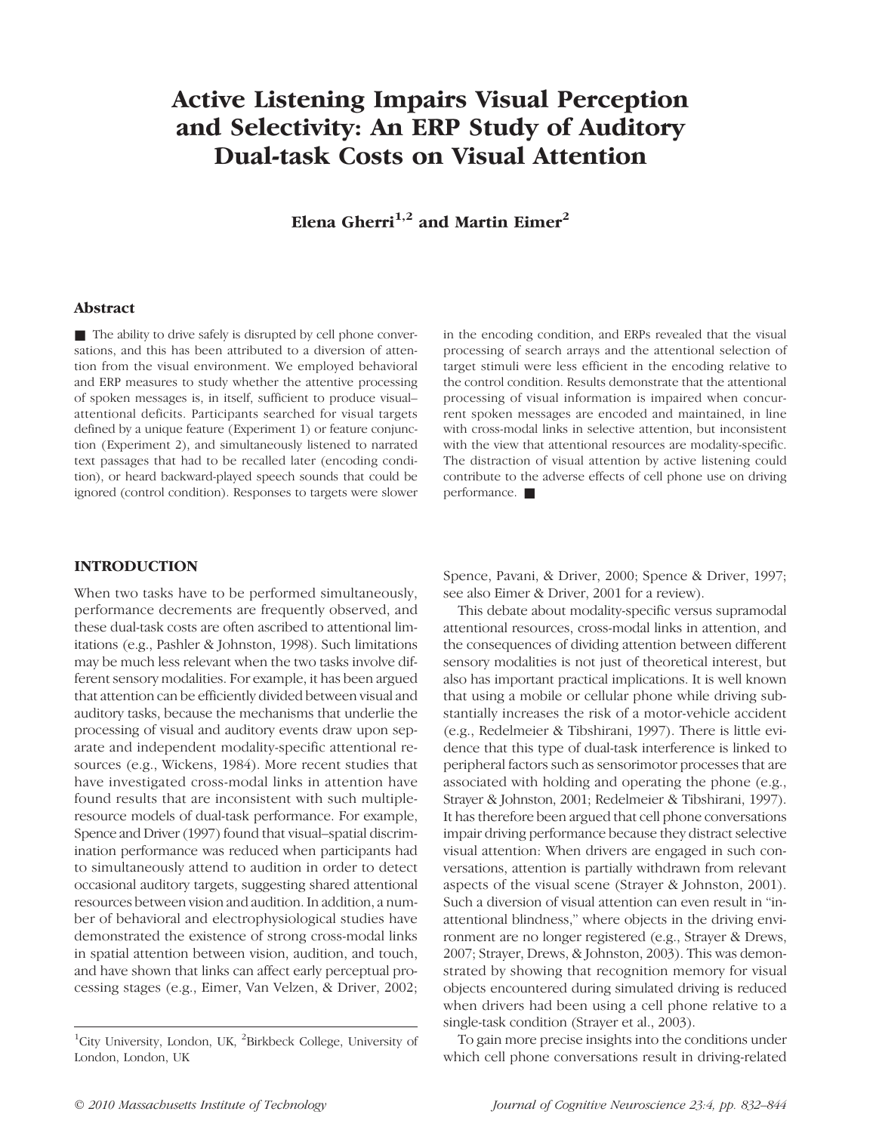# Active Listening Impairs Visual Perception and Selectivity: An ERP Study of Auditory Dual-task Costs on Visual Attention

Elena Gherri<sup>1,2</sup> and Martin Eimer<sup>2</sup>

## Abstract

■ The ability to drive safely is disrupted by cell phone conversations, and this has been attributed to a diversion of attention from the visual environment. We employed behavioral and ERP measures to study whether the attentive processing of spoken messages is, in itself, sufficient to produce visual– attentional deficits. Participants searched for visual targets defined by a unique feature (Experiment 1) or feature conjunction (Experiment 2), and simultaneously listened to narrated text passages that had to be recalled later (encoding condition), or heard backward-played speech sounds that could be ignored (control condition). Responses to targets were slower in the encoding condition, and ERPs revealed that the visual processing of search arrays and the attentional selection of target stimuli were less efficient in the encoding relative to the control condition. Results demonstrate that the attentional processing of visual information is impaired when concurrent spoken messages are encoded and maintained, in line with cross-modal links in selective attention, but inconsistent with the view that attentional resources are modality-specific. The distraction of visual attention by active listening could contribute to the adverse effects of cell phone use on driving performance.

## INTRODUCTION

When two tasks have to be performed simultaneously, performance decrements are frequently observed, and these dual-task costs are often ascribed to attentional limitations (e.g., Pashler & Johnston, 1998). Such limitations may be much less relevant when the two tasks involve different sensory modalities. For example, it has been argued that attention can be efficiently divided between visual and auditory tasks, because the mechanisms that underlie the processing of visual and auditory events draw upon separate and independent modality-specific attentional resources (e.g., Wickens, 1984). More recent studies that have investigated cross-modal links in attention have found results that are inconsistent with such multipleresource models of dual-task performance. For example, Spence and Driver (1997) found that visual–spatial discrimination performance was reduced when participants had to simultaneously attend to audition in order to detect occasional auditory targets, suggesting shared attentional resources between vision and audition. In addition, a number of behavioral and electrophysiological studies have demonstrated the existence of strong cross-modal links in spatial attention between vision, audition, and touch, and have shown that links can affect early perceptual processing stages (e.g., Eimer, Van Velzen, & Driver, 2002;

Spence, Pavani, & Driver, 2000; Spence & Driver, 1997; see also Eimer & Driver, 2001 for a review).

This debate about modality-specific versus supramodal attentional resources, cross-modal links in attention, and the consequences of dividing attention between different sensory modalities is not just of theoretical interest, but also has important practical implications. It is well known that using a mobile or cellular phone while driving substantially increases the risk of a motor-vehicle accident (e.g., Redelmeier & Tibshirani, 1997). There is little evidence that this type of dual-task interference is linked to peripheral factors such as sensorimotor processes that are associated with holding and operating the phone (e.g., Strayer & Johnston, 2001; Redelmeier & Tibshirani, 1997). It has therefore been argued that cell phone conversations impair driving performance because they distract selective visual attention: When drivers are engaged in such conversations, attention is partially withdrawn from relevant aspects of the visual scene (Strayer & Johnston, 2001). Such a diversion of visual attention can even result in "inattentional blindness," where objects in the driving environment are no longer registered (e.g., Strayer & Drews, 2007; Strayer, Drews, & Johnston, 2003). This was demonstrated by showing that recognition memory for visual objects encountered during simulated driving is reduced when drivers had been using a cell phone relative to a single-task condition (Strayer et al., 2003).

To gain more precise insights into the conditions under which cell phone conversations result in driving-related

<sup>&</sup>lt;sup>1</sup>City University, London, UK, <sup>2</sup>Birkbeck College, University of London, London, UK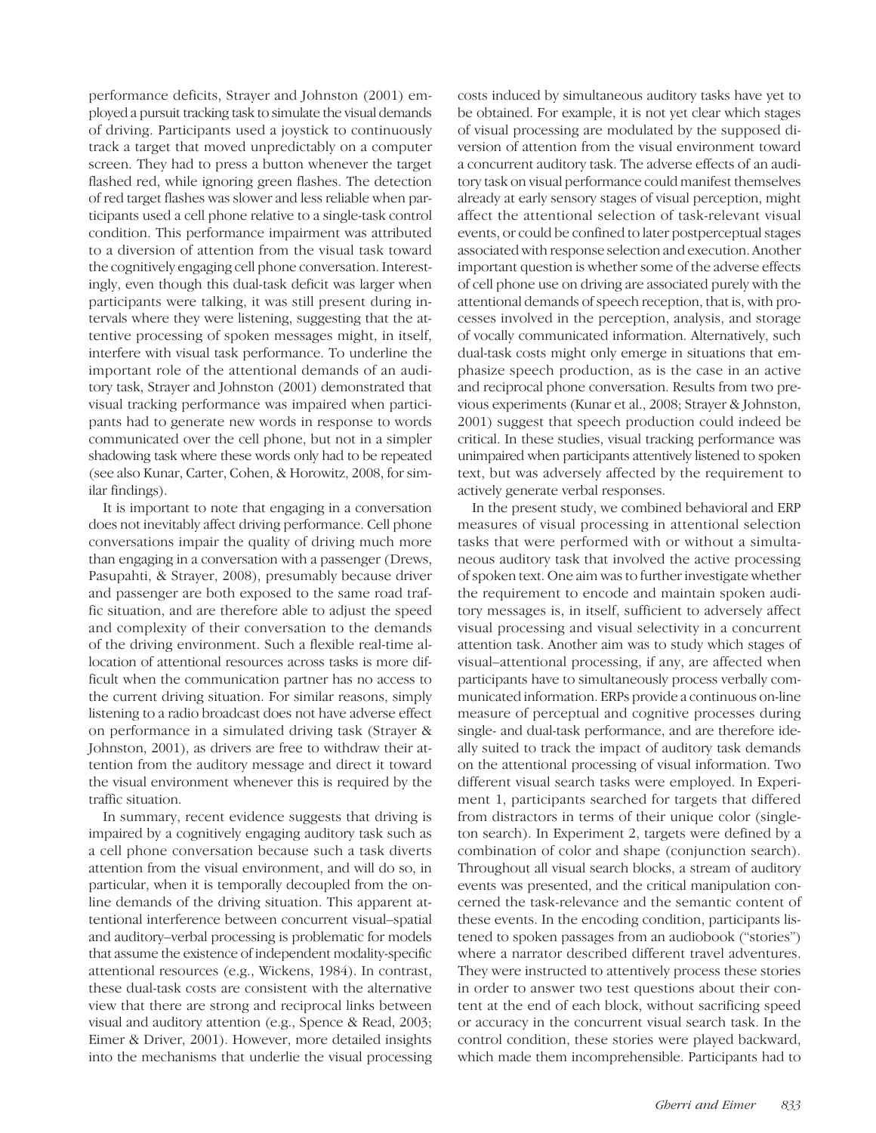performance deficits, Strayer and Johnston (2001) employed a pursuit tracking task to simulate the visual demands of driving. Participants used a joystick to continuously track a target that moved unpredictably on a computer screen. They had to press a button whenever the target flashed red, while ignoring green flashes. The detection of red target flashes was slower and less reliable when participants used a cell phone relative to a single-task control condition. This performance impairment was attributed to a diversion of attention from the visual task toward the cognitively engaging cell phone conversation. Interestingly, even though this dual-task deficit was larger when participants were talking, it was still present during intervals where they were listening, suggesting that the attentive processing of spoken messages might, in itself, interfere with visual task performance. To underline the important role of the attentional demands of an auditory task, Strayer and Johnston (2001) demonstrated that visual tracking performance was impaired when participants had to generate new words in response to words communicated over the cell phone, but not in a simpler shadowing task where these words only had to be repeated (see also Kunar, Carter, Cohen, & Horowitz, 2008, for similar findings).

It is important to note that engaging in a conversation does not inevitably affect driving performance. Cell phone conversations impair the quality of driving much more than engaging in a conversation with a passenger (Drews, Pasupahti, & Strayer, 2008), presumably because driver and passenger are both exposed to the same road traffic situation, and are therefore able to adjust the speed and complexity of their conversation to the demands of the driving environment. Such a flexible real-time allocation of attentional resources across tasks is more difficult when the communication partner has no access to the current driving situation. For similar reasons, simply listening to a radio broadcast does not have adverse effect on performance in a simulated driving task (Strayer & Johnston, 2001), as drivers are free to withdraw their attention from the auditory message and direct it toward the visual environment whenever this is required by the traffic situation.

In summary, recent evidence suggests that driving is impaired by a cognitively engaging auditory task such as a cell phone conversation because such a task diverts attention from the visual environment, and will do so, in particular, when it is temporally decoupled from the online demands of the driving situation. This apparent attentional interference between concurrent visual–spatial and auditory–verbal processing is problematic for models that assume the existence of independent modality-specific attentional resources (e.g., Wickens, 1984). In contrast, these dual-task costs are consistent with the alternative view that there are strong and reciprocal links between visual and auditory attention (e.g., Spence & Read, 2003; Eimer & Driver, 2001). However, more detailed insights into the mechanisms that underlie the visual processing

costs induced by simultaneous auditory tasks have yet to be obtained. For example, it is not yet clear which stages of visual processing are modulated by the supposed diversion of attention from the visual environment toward a concurrent auditory task. The adverse effects of an auditory task on visual performance could manifest themselves already at early sensory stages of visual perception, might affect the attentional selection of task-relevant visual events, or could be confined to later postperceptual stages associated with response selection and execution. Another important question is whether some of the adverse effects of cell phone use on driving are associated purely with the attentional demands of speech reception, that is, with processes involved in the perception, analysis, and storage of vocally communicated information. Alternatively, such dual-task costs might only emerge in situations that emphasize speech production, as is the case in an active and reciprocal phone conversation. Results from two previous experiments (Kunar et al., 2008; Strayer & Johnston, 2001) suggest that speech production could indeed be critical. In these studies, visual tracking performance was unimpaired when participants attentively listened to spoken text, but was adversely affected by the requirement to actively generate verbal responses.

In the present study, we combined behavioral and ERP measures of visual processing in attentional selection tasks that were performed with or without a simultaneous auditory task that involved the active processing of spoken text. One aim was to further investigate whether the requirement to encode and maintain spoken auditory messages is, in itself, sufficient to adversely affect visual processing and visual selectivity in a concurrent attention task. Another aim was to study which stages of visual–attentional processing, if any, are affected when participants have to simultaneously process verbally communicated information. ERPs provide a continuous on-line measure of perceptual and cognitive processes during single- and dual-task performance, and are therefore ideally suited to track the impact of auditory task demands on the attentional processing of visual information. Two different visual search tasks were employed. In Experiment 1, participants searched for targets that differed from distractors in terms of their unique color (singleton search). In Experiment 2, targets were defined by a combination of color and shape (conjunction search). Throughout all visual search blocks, a stream of auditory events was presented, and the critical manipulation concerned the task-relevance and the semantic content of these events. In the encoding condition, participants listened to spoken passages from an audiobook ("stories") where a narrator described different travel adventures. They were instructed to attentively process these stories in order to answer two test questions about their content at the end of each block, without sacrificing speed or accuracy in the concurrent visual search task. In the control condition, these stories were played backward, which made them incomprehensible. Participants had to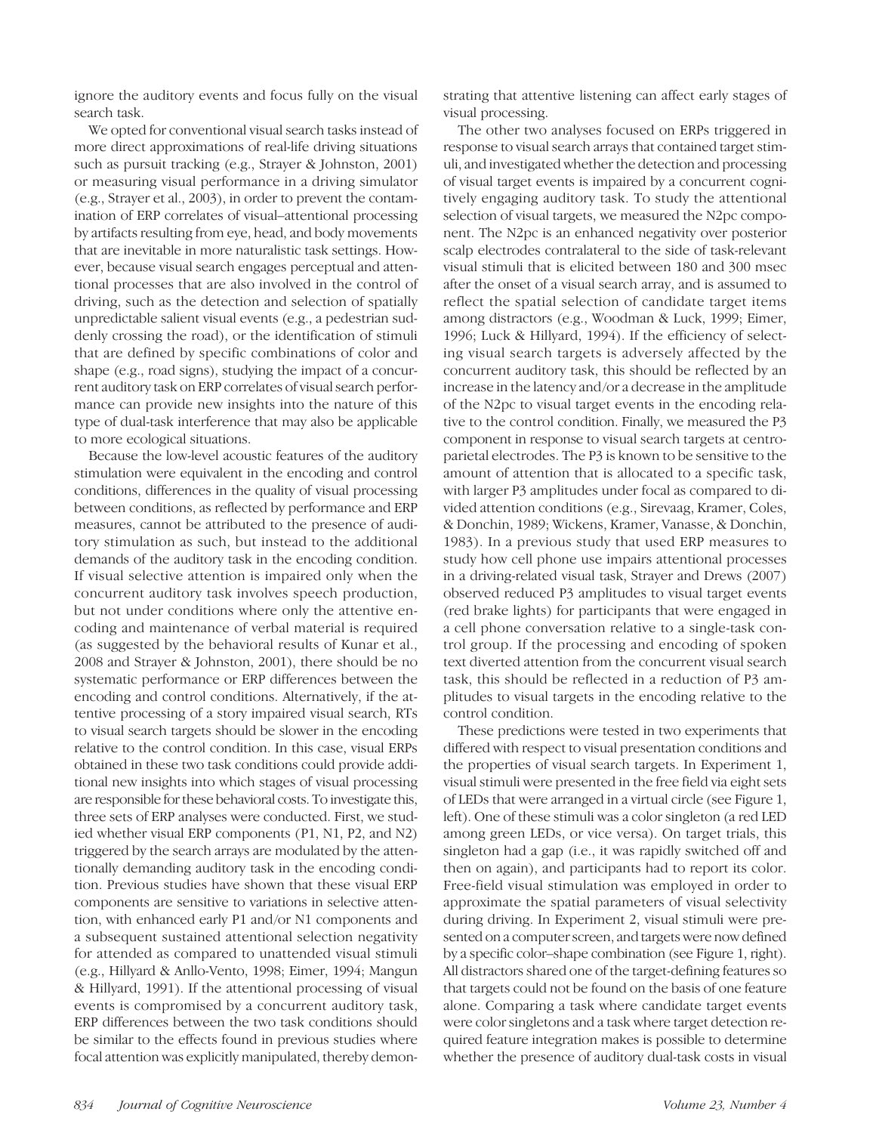ignore the auditory events and focus fully on the visual search task.

We opted for conventional visual search tasks instead of more direct approximations of real-life driving situations such as pursuit tracking (e.g., Strayer & Johnston, 2001) or measuring visual performance in a driving simulator (e.g., Strayer et al., 2003), in order to prevent the contamination of ERP correlates of visual–attentional processing by artifacts resulting from eye, head, and body movements that are inevitable in more naturalistic task settings. However, because visual search engages perceptual and attentional processes that are also involved in the control of driving, such as the detection and selection of spatially unpredictable salient visual events (e.g., a pedestrian suddenly crossing the road), or the identification of stimuli that are defined by specific combinations of color and shape (e.g., road signs), studying the impact of a concurrent auditory task on ERP correlates of visual search performance can provide new insights into the nature of this type of dual-task interference that may also be applicable to more ecological situations.

Because the low-level acoustic features of the auditory stimulation were equivalent in the encoding and control conditions, differences in the quality of visual processing between conditions, as reflected by performance and ERP measures, cannot be attributed to the presence of auditory stimulation as such, but instead to the additional demands of the auditory task in the encoding condition. If visual selective attention is impaired only when the concurrent auditory task involves speech production, but not under conditions where only the attentive encoding and maintenance of verbal material is required (as suggested by the behavioral results of Kunar et al., 2008 and Strayer & Johnston, 2001), there should be no systematic performance or ERP differences between the encoding and control conditions. Alternatively, if the attentive processing of a story impaired visual search, RTs to visual search targets should be slower in the encoding relative to the control condition. In this case, visual ERPs obtained in these two task conditions could provide additional new insights into which stages of visual processing are responsible for these behavioral costs. To investigate this, three sets of ERP analyses were conducted. First, we studied whether visual ERP components (P1, N1, P2, and N2) triggered by the search arrays are modulated by the attentionally demanding auditory task in the encoding condition. Previous studies have shown that these visual ERP components are sensitive to variations in selective attention, with enhanced early P1 and/or N1 components and a subsequent sustained attentional selection negativity for attended as compared to unattended visual stimuli (e.g., Hillyard & Anllo-Vento, 1998; Eimer, 1994; Mangun & Hillyard, 1991). If the attentional processing of visual events is compromised by a concurrent auditory task, ERP differences between the two task conditions should be similar to the effects found in previous studies where focal attention was explicitly manipulated, thereby demonstrating that attentive listening can affect early stages of visual processing.

The other two analyses focused on ERPs triggered in response to visual search arrays that contained target stimuli, and investigated whether the detection and processing of visual target events is impaired by a concurrent cognitively engaging auditory task. To study the attentional selection of visual targets, we measured the N2pc component. The N2pc is an enhanced negativity over posterior scalp electrodes contralateral to the side of task-relevant visual stimuli that is elicited between 180 and 300 msec after the onset of a visual search array, and is assumed to reflect the spatial selection of candidate target items among distractors (e.g., Woodman & Luck, 1999; Eimer, 1996; Luck & Hillyard, 1994). If the efficiency of selecting visual search targets is adversely affected by the concurrent auditory task, this should be reflected by an increase in the latency and/or a decrease in the amplitude of the N2pc to visual target events in the encoding relative to the control condition. Finally, we measured the P3 component in response to visual search targets at centroparietal electrodes. The P3 is known to be sensitive to the amount of attention that is allocated to a specific task, with larger P3 amplitudes under focal as compared to divided attention conditions (e.g., Sirevaag, Kramer, Coles, & Donchin, 1989; Wickens, Kramer, Vanasse, & Donchin, 1983). In a previous study that used ERP measures to study how cell phone use impairs attentional processes in a driving-related visual task, Strayer and Drews (2007) observed reduced P3 amplitudes to visual target events (red brake lights) for participants that were engaged in a cell phone conversation relative to a single-task control group. If the processing and encoding of spoken text diverted attention from the concurrent visual search task, this should be reflected in a reduction of P3 amplitudes to visual targets in the encoding relative to the control condition.

These predictions were tested in two experiments that differed with respect to visual presentation conditions and the properties of visual search targets. In Experiment 1, visual stimuli were presented in the free field via eight sets of LEDs that were arranged in a virtual circle (see Figure 1, left). One of these stimuli was a color singleton (a red LED among green LEDs, or vice versa). On target trials, this singleton had a gap (i.e., it was rapidly switched off and then on again), and participants had to report its color. Free-field visual stimulation was employed in order to approximate the spatial parameters of visual selectivity during driving. In Experiment 2, visual stimuli were presented on a computer screen, and targets were now defined by a specific color–shape combination (see Figure 1, right). All distractors shared one of the target-defining features so that targets could not be found on the basis of one feature alone. Comparing a task where candidate target events were color singletons and a task where target detection required feature integration makes is possible to determine whether the presence of auditory dual-task costs in visual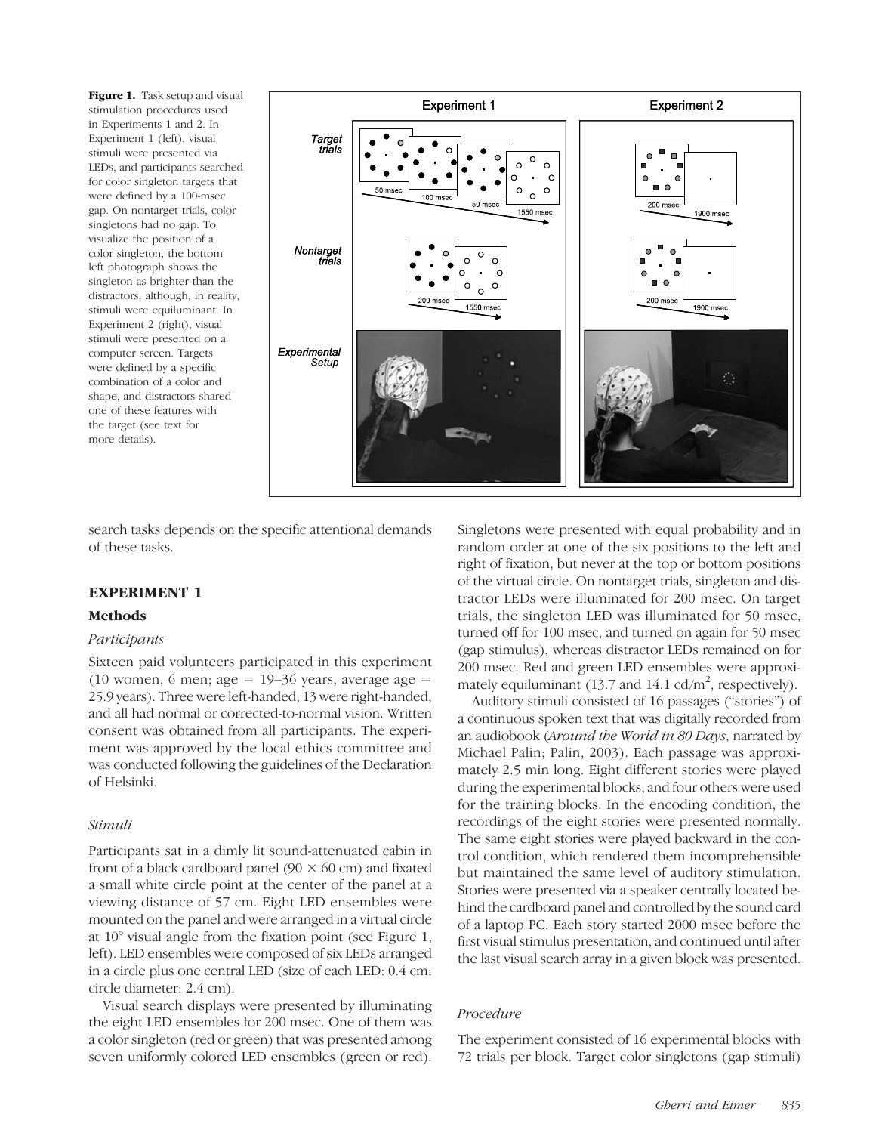Figure 1. Task setup and visual stimulation procedures used in Experiments 1 and 2. In Experiment 1 (left), visual stimuli were presented via LEDs, and participants searched for color singleton targets that were defined by a 100-msec gap. On nontarget trials, color singletons had no gap. To visualize the position of a color singleton, the bottom left photograph shows the singleton as brighter than the distractors, although, in reality, stimuli were equiluminant. In Experiment 2 (right), visual stimuli were presented on a computer screen. Targets were defined by a specific combination of a color and shape, and distractors shared one of these features with the target (see text for more details).



search tasks depends on the specific attentional demands of these tasks.

## EXPERIMENT 1

## Methods

#### Participants

Sixteen paid volunteers participated in this experiment (10 women, 6 men; age =  $19-36$  years, average age = 25.9 years). Three were left-handed, 13 were right-handed, and all had normal or corrected-to-normal vision. Written consent was obtained from all participants. The experiment was approved by the local ethics committee and was conducted following the guidelines of the Declaration of Helsinki.

## Stimuli

Participants sat in a dimly lit sound-attenuated cabin in front of a black cardboard panel ( $90 \times 60$  cm) and fixated a small white circle point at the center of the panel at a viewing distance of 57 cm. Eight LED ensembles were mounted on the panel and were arranged in a virtual circle at 10° visual angle from the fixation point (see Figure 1, left). LED ensembles were composed of six LEDs arranged in a circle plus one central LED (size of each LED: 0.4 cm; circle diameter: 2.4 cm).

Visual search displays were presented by illuminating the eight LED ensembles for 200 msec. One of them was a color singleton (red or green) that was presented among seven uniformly colored LED ensembles (green or red).

Singletons were presented with equal probability and in random order at one of the six positions to the left and right of fixation, but never at the top or bottom positions of the virtual circle. On nontarget trials, singleton and distractor LEDs were illuminated for 200 msec. On target trials, the singleton LED was illuminated for 50 msec, turned off for 100 msec, and turned on again for 50 msec (gap stimulus), whereas distractor LEDs remained on for 200 msec. Red and green LED ensembles were approximately equiluminant (13.7 and 14.1 cd/ $m^2$ , respectively).

Auditory stimuli consisted of 16 passages ("stories") of a continuous spoken text that was digitally recorded from an audiobook (Around the World in 80 Days, narrated by Michael Palin; Palin, 2003). Each passage was approximately 2.5 min long. Eight different stories were played during the experimental blocks, and four others were used for the training blocks. In the encoding condition, the recordings of the eight stories were presented normally. The same eight stories were played backward in the control condition, which rendered them incomprehensible but maintained the same level of auditory stimulation. Stories were presented via a speaker centrally located behind the cardboard panel and controlled by the sound card of a laptop PC. Each story started 2000 msec before the first visual stimulus presentation, and continued until after the last visual search array in a given block was presented.

## Procedure

The experiment consisted of 16 experimental blocks with 72 trials per block. Target color singletons (gap stimuli)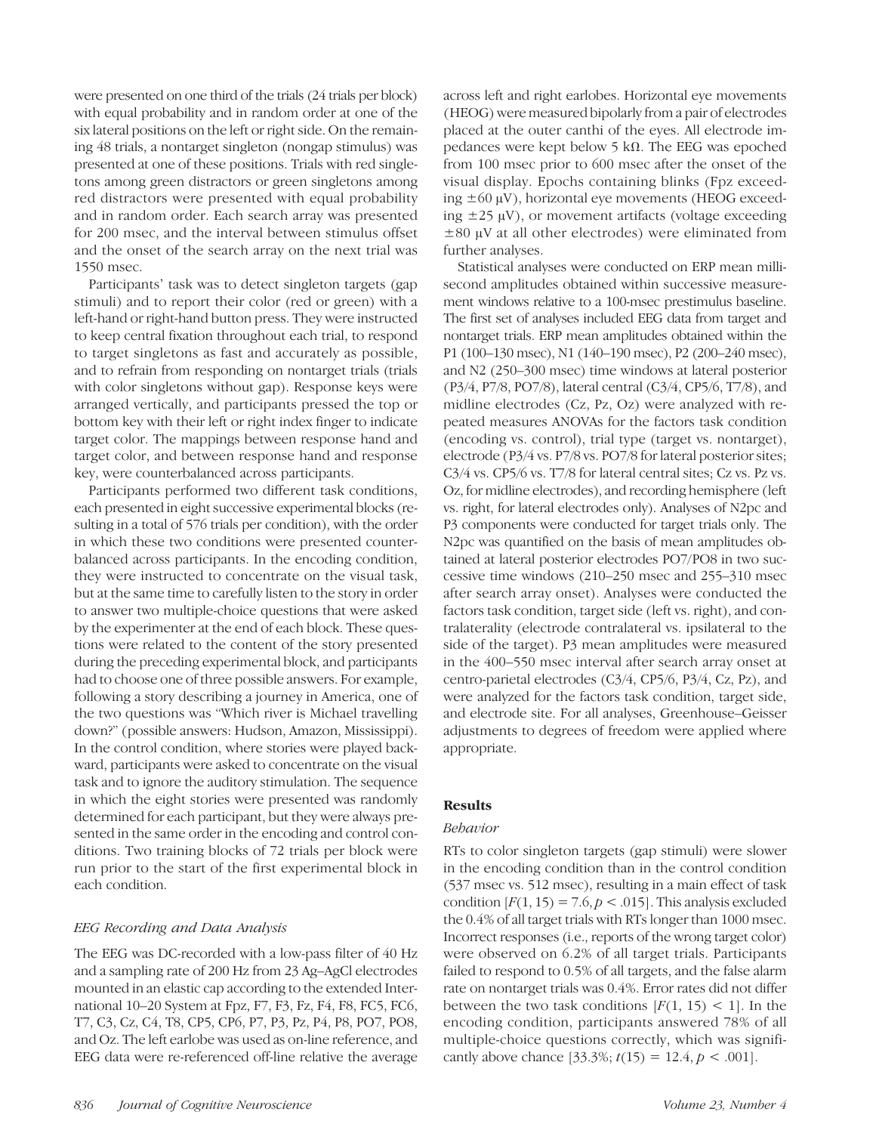were presented on one third of the trials (24 trials per block) with equal probability and in random order at one of the six lateral positions on the left or right side. On the remaining 48 trials, a nontarget singleton (nongap stimulus) was presented at one of these positions. Trials with red singletons among green distractors or green singletons among red distractors were presented with equal probability and in random order. Each search array was presented for 200 msec, and the interval between stimulus offset and the onset of the search array on the next trial was 1550 msec.

Participants' task was to detect singleton targets (gap stimuli) and to report their color (red or green) with a left-hand or right-hand button press. They were instructed to keep central fixation throughout each trial, to respond to target singletons as fast and accurately as possible, and to refrain from responding on nontarget trials (trials with color singletons without gap). Response keys were arranged vertically, and participants pressed the top or bottom key with their left or right index finger to indicate target color. The mappings between response hand and target color, and between response hand and response key, were counterbalanced across participants.

Participants performed two different task conditions, each presented in eight successive experimental blocks (resulting in a total of 576 trials per condition), with the order in which these two conditions were presented counterbalanced across participants. In the encoding condition, they were instructed to concentrate on the visual task, but at the same time to carefully listen to the story in order to answer two multiple-choice questions that were asked by the experimenter at the end of each block. These questions were related to the content of the story presented during the preceding experimental block, and participants had to choose one of three possible answers. For example, following a story describing a journey in America, one of the two questions was "Which river is Michael travelling down?" (possible answers: Hudson, Amazon, Mississippi). In the control condition, where stories were played backward, participants were asked to concentrate on the visual task and to ignore the auditory stimulation. The sequence in which the eight stories were presented was randomly determined for each participant, but they were always presented in the same order in the encoding and control conditions. Two training blocks of 72 trials per block were run prior to the start of the first experimental block in each condition.

## EEG Recording and Data Analysis

The EEG was DC-recorded with a low-pass filter of 40 Hz and a sampling rate of 200 Hz from 23 Ag–AgCl electrodes mounted in an elastic cap according to the extended International 10–20 System at Fpz, F7, F3, Fz, F4, F8, FC5, FC6, T7, C3, Cz, C4, T8, CP5, CP6, P7, P3, Pz, P4, P8, PO7, PO8, and Oz. The left earlobe was used as on-line reference, and EEG data were re-referenced off-line relative the average

across left and right earlobes. Horizontal eye movements (HEOG) were measured bipolarly from a pair of electrodes placed at the outer canthi of the eyes. All electrode impedances were kept below 5 kΩ. The EEG was epoched from 100 msec prior to 600 msec after the onset of the visual display. Epochs containing blinks (Fpz exceeding  $\pm 60 \mu$ V), horizontal eye movements (HEOG exceeding  $\pm 25 \mu V$ ), or movement artifacts (voltage exceeding  $\pm 80$  μV at all other electrodes) were eliminated from further analyses.

Statistical analyses were conducted on ERP mean millisecond amplitudes obtained within successive measurement windows relative to a 100-msec prestimulus baseline. The first set of analyses included EEG data from target and nontarget trials. ERP mean amplitudes obtained within the P1 (100–130 msec), N1 (140–190 msec), P2 (200–240 msec), and N2 (250–300 msec) time windows at lateral posterior (P3/4, P7/8, PO7/8), lateral central (C3/4, CP5/6, T7/8), and midline electrodes (Cz, Pz, Oz) were analyzed with repeated measures ANOVAs for the factors task condition (encoding vs. control), trial type (target vs. nontarget), electrode (P3/4 vs. P7/8 vs. PO7/8 for lateral posterior sites; C3/4 vs. CP5/6 vs. T7/8 for lateral central sites; Cz vs. Pz vs. Oz, for midline electrodes), and recording hemisphere (left vs. right, for lateral electrodes only). Analyses of N2pc and P3 components were conducted for target trials only. The N2pc was quantified on the basis of mean amplitudes obtained at lateral posterior electrodes PO7/PO8 in two successive time windows (210–250 msec and 255–310 msec after search array onset). Analyses were conducted the factors task condition, target side (left vs. right), and contralaterality (electrode contralateral vs. ipsilateral to the side of the target). P3 mean amplitudes were measured in the 400–550 msec interval after search array onset at centro-parietal electrodes (C3/4, CP5/6, P3/4, Cz, Pz), and were analyzed for the factors task condition, target side, and electrode site. For all analyses, Greenhouse–Geisser adjustments to degrees of freedom were applied where appropriate.

## Results

# Behavior

RTs to color singleton targets (gap stimuli) were slower in the encoding condition than in the control condition (537 msec vs. 512 msec), resulting in a main effect of task condition  $[F(1, 15) = 7.6, p < .015]$ . This analysis excluded the 0.4% of all target trials with RTs longer than 1000 msec. Incorrect responses (i.e., reports of the wrong target color) were observed on 6.2% of all target trials. Participants failed to respond to 0.5% of all targets, and the false alarm rate on nontarget trials was 0.4%. Error rates did not differ between the two task conditions  $[F(1, 15) < 1]$ . In the encoding condition, participants answered 78% of all multiple-choice questions correctly, which was significantly above chance  $[33.3\%; t(15) = 12.4, p < .001]$ .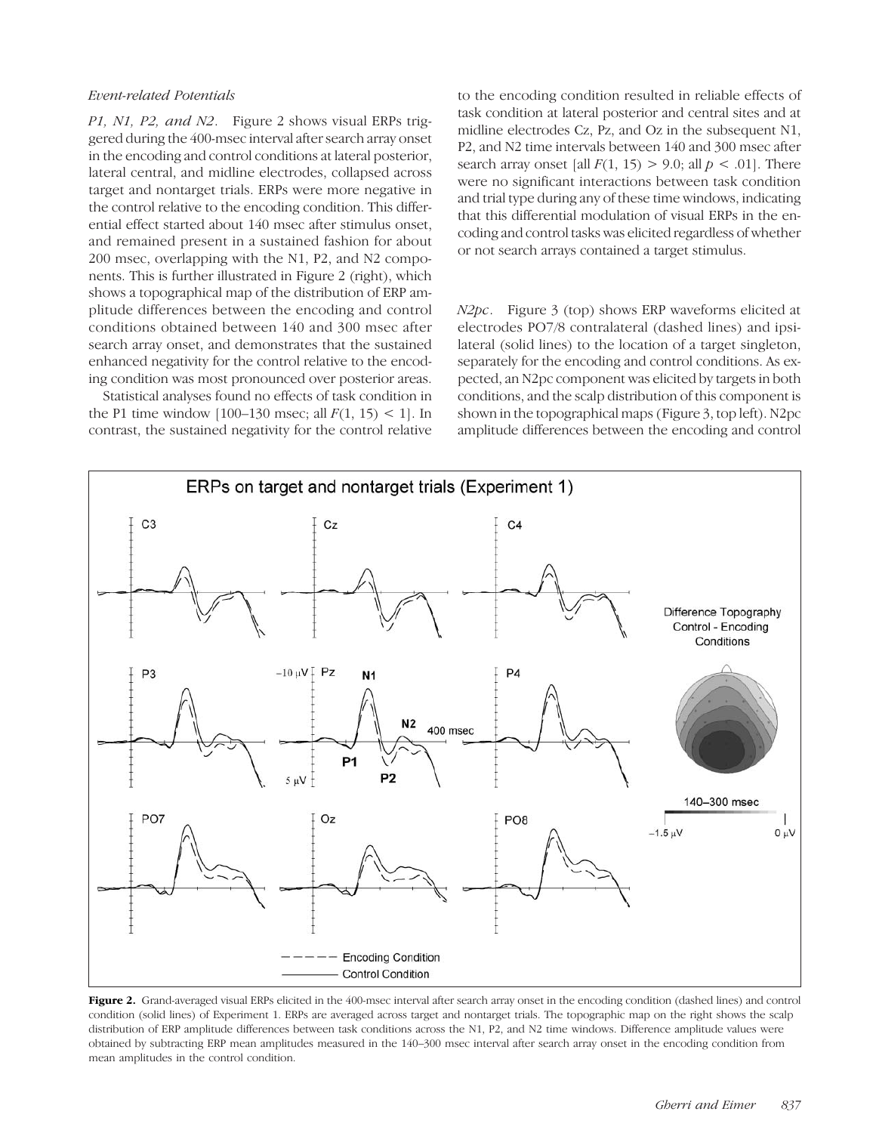## Event-related Potentials

P1, N1, P2, and N2. Figure 2 shows visual ERPs triggered during the 400-msec interval after search array onset in the encoding and control conditions at lateral posterior, lateral central, and midline electrodes, collapsed across target and nontarget trials. ERPs were more negative in the control relative to the encoding condition. This differential effect started about 140 msec after stimulus onset, and remained present in a sustained fashion for about 200 msec, overlapping with the N1, P2, and N2 components. This is further illustrated in Figure 2 (right), which shows a topographical map of the distribution of ERP amplitude differences between the encoding and control conditions obtained between 140 and 300 msec after search array onset, and demonstrates that the sustained enhanced negativity for the control relative to the encoding condition was most pronounced over posterior areas.

Statistical analyses found no effects of task condition in the P1 time window  $[100-130 \text{ msec}; \text{ all } F(1, 15) < 1]$ . In contrast, the sustained negativity for the control relative

to the encoding condition resulted in reliable effects of task condition at lateral posterior and central sites and at midline electrodes Cz, Pz, and Oz in the subsequent N1, P2, and N2 time intervals between 140 and 300 msec after search array onset [all  $F(1, 15) > 9.0$ ; all  $p < .01$ ]. There were no significant interactions between task condition and trial type during any of these time windows, indicating that this differential modulation of visual ERPs in the encoding and control tasks was elicited regardless of whether or not search arrays contained a target stimulus.

N2pc. Figure 3 (top) shows ERP waveforms elicited at electrodes PO7/8 contralateral (dashed lines) and ipsilateral (solid lines) to the location of a target singleton, separately for the encoding and control conditions. As expected, an N2pc component was elicited by targets in both conditions, and the scalp distribution of this component is shown in the topographical maps (Figure 3, top left). N2pc amplitude differences between the encoding and control



Figure 2. Grand-averaged visual ERPs elicited in the 400-msec interval after search array onset in the encoding condition (dashed lines) and control condition (solid lines) of Experiment 1. ERPs are averaged across target and nontarget trials. The topographic map on the right shows the scalp distribution of ERP amplitude differences between task conditions across the N1, P2, and N2 time windows. Difference amplitude values were obtained by subtracting ERP mean amplitudes measured in the 140–300 msec interval after search array onset in the encoding condition from mean amplitudes in the control condition.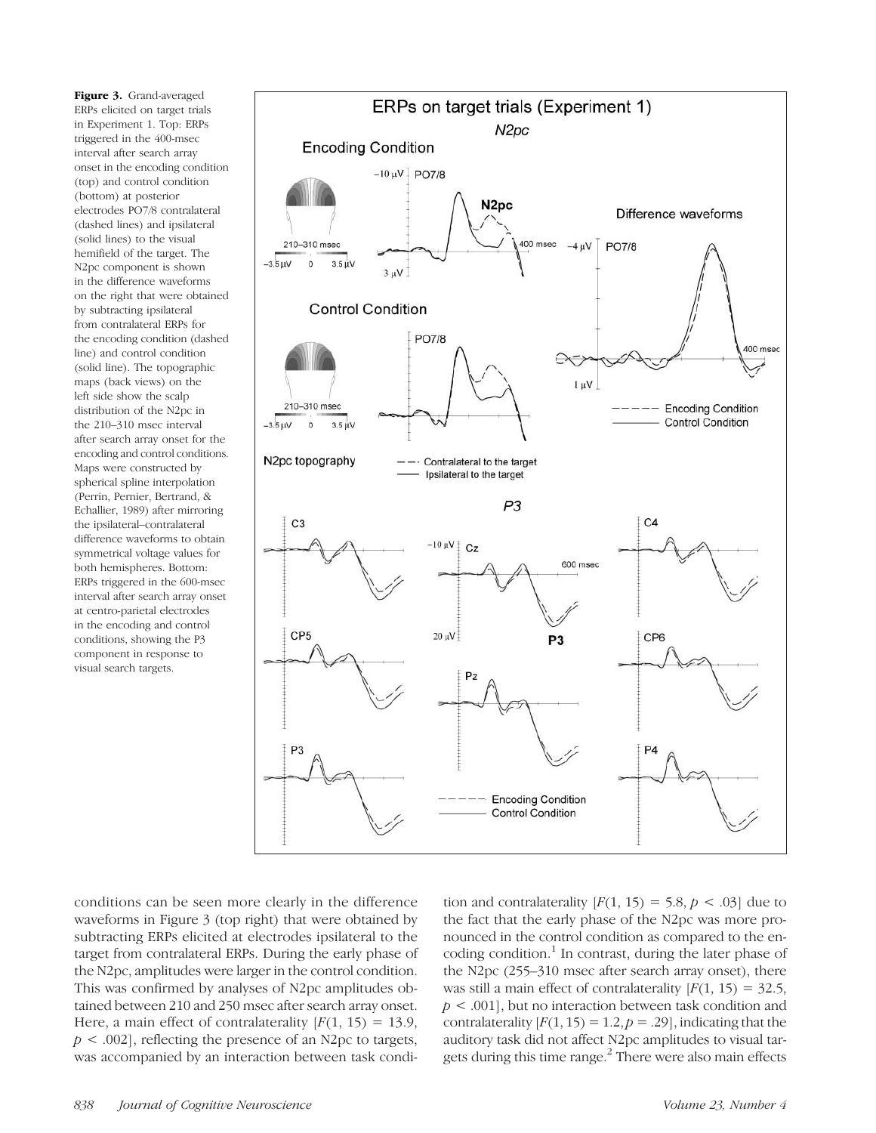Figure 3. Grand-averaged ERPs elicited on target trials in Experiment 1. Top: ERPs triggered in the 400-msec interval after search array onset in the encoding condition (top) and control condition (bottom) at posterior electrodes PO7/8 contralateral (dashed lines) and ipsilateral (solid lines) to the visual hemifield of the target. The N2pc component is shown in the difference waveforms on the right that were obtained by subtracting ipsilateral from contralateral ERPs for the encoding condition (dashed line) and control condition (solid line). The topographic maps (back views) on the left side show the scalp distribution of the N2pc in the 210–310 msec interval after search array onset for the encoding and control conditions. Maps were constructed by spherical spline interpolation (Perrin, Pernier, Bertrand, & Echallier, 1989) after mirroring the ipsilateral–contralateral difference waveforms to obtain symmetrical voltage values for both hemispheres. Bottom: ERPs triggered in the 600-msec interval after search array onset at centro-parietal electrodes in the encoding and control conditions, showing the P3 component in response to visual search targets.



conditions can be seen more clearly in the difference waveforms in Figure 3 (top right) that were obtained by subtracting ERPs elicited at electrodes ipsilateral to the target from contralateral ERPs. During the early phase of the N2pc, amplitudes were larger in the control condition. This was confirmed by analyses of N2pc amplitudes obtained between 210 and 250 msec after search array onset. Here, a main effect of contralaterality  $[F(1, 15) = 13.9]$ ,  $p < .002$ ], reflecting the presence of an N2pc to targets, was accompanied by an interaction between task condi-

tion and contralaterality  $[F(1, 15) = 5.8, p < .03]$  due to the fact that the early phase of the N2pc was more pronounced in the control condition as compared to the encoding condition.<sup>1</sup> In contrast, during the later phase of the N2pc (255–310 msec after search array onset), there was still a main effect of contralaterality  $[F(1, 15) = 32.5,$  $p < .001$ , but no interaction between task condition and contralaterality  $[F(1, 15) = 1.2, p = .29]$ , indicating that the auditory task did not affect N2pc amplitudes to visual targets during this time range.<sup>2</sup> There were also main effects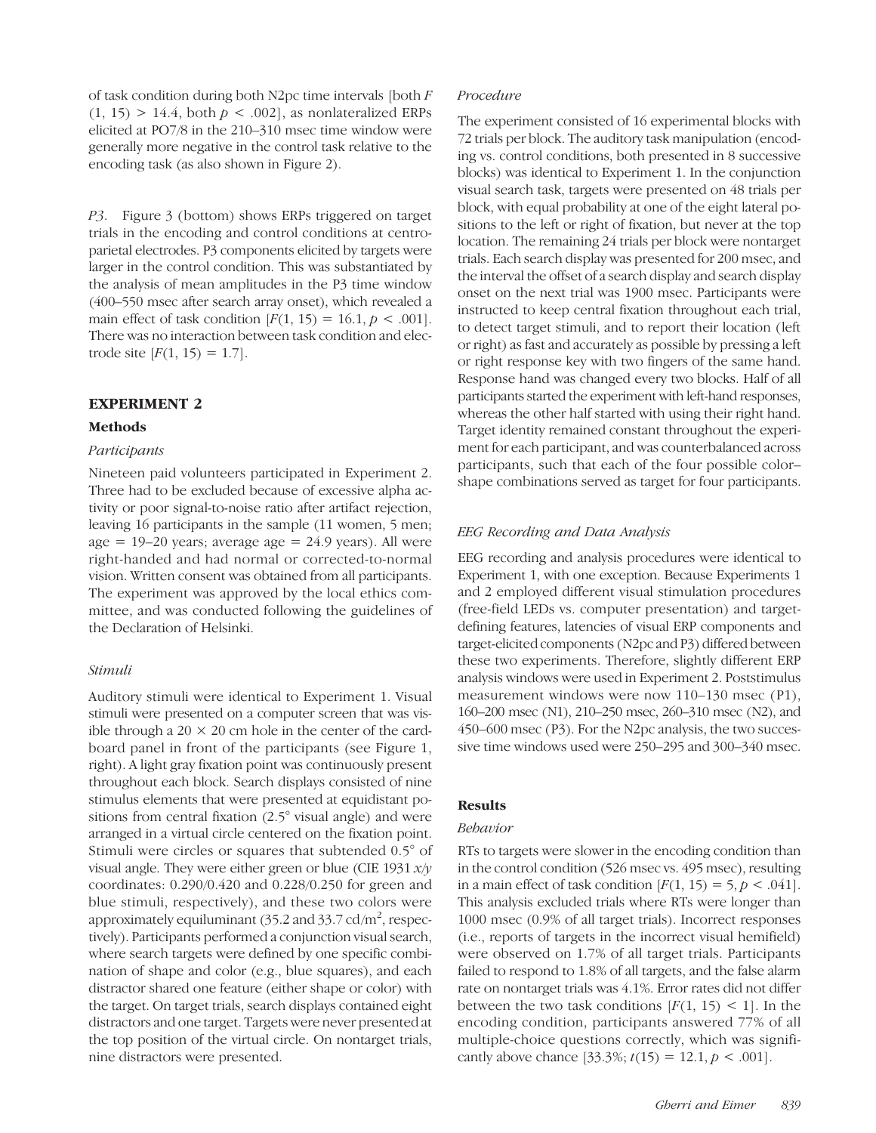of task condition during both N2pc time intervals [both F  $(1, 15) > 14.4$ , both  $p < .002$ , as nonlateralized ERPs elicited at PO7/8 in the 210–310 msec time window were generally more negative in the control task relative to the encoding task (as also shown in Figure 2).

P3. Figure 3 (bottom) shows ERPs triggered on target trials in the encoding and control conditions at centroparietal electrodes. P3 components elicited by targets were larger in the control condition. This was substantiated by the analysis of mean amplitudes in the P3 time window (400–550 msec after search array onset), which revealed a main effect of task condition  $[F(1, 15) = 16.1, p < .001]$ . There was no interaction between task condition and electrode site  $[F(1, 15) = 1.7]$ .

## EXPERIMENT 2

#### Methods

## Participants

Nineteen paid volunteers participated in Experiment 2. Three had to be excluded because of excessive alpha activity or poor signal-to-noise ratio after artifact rejection, leaving 16 participants in the sample (11 women, 5 men; age =  $19-20$  years; average age =  $24.9$  years). All were right-handed and had normal or corrected-to-normal vision. Written consent was obtained from all participants. The experiment was approved by the local ethics committee, and was conducted following the guidelines of the Declaration of Helsinki.

## Stimuli

Auditory stimuli were identical to Experiment 1. Visual stimuli were presented on a computer screen that was visible through a  $20 \times 20$  cm hole in the center of the cardboard panel in front of the participants (see Figure 1, right). A light gray fixation point was continuously present throughout each block. Search displays consisted of nine stimulus elements that were presented at equidistant positions from central fixation (2.5° visual angle) and were arranged in a virtual circle centered on the fixation point. Stimuli were circles or squares that subtended 0.5° of visual angle. They were either green or blue (CIE 1931  $x/y$ ) coordinates: 0.290/0.420 and 0.228/0.250 for green and blue stimuli, respectively), and these two colors were approximately equiluminant (35.2 and 33.7 cd/ $m^2$ , respectively). Participants performed a conjunction visual search, where search targets were defined by one specific combination of shape and color (e.g., blue squares), and each distractor shared one feature (either shape or color) with the target. On target trials, search displays contained eight distractors and one target. Targets were never presented at the top position of the virtual circle. On nontarget trials, nine distractors were presented.

#### Procedure

The experiment consisted of 16 experimental blocks with 72 trials per block. The auditory task manipulation (encoding vs. control conditions, both presented in 8 successive blocks) was identical to Experiment 1. In the conjunction visual search task, targets were presented on 48 trials per block, with equal probability at one of the eight lateral positions to the left or right of fixation, but never at the top location. The remaining 24 trials per block were nontarget trials. Each search display was presented for 200 msec, and the interval the offset of a search display and search display onset on the next trial was 1900 msec. Participants were instructed to keep central fixation throughout each trial, to detect target stimuli, and to report their location (left or right) as fast and accurately as possible by pressing a left or right response key with two fingers of the same hand. Response hand was changed every two blocks. Half of all participants started the experiment with left-hand responses, whereas the other half started with using their right hand. Target identity remained constant throughout the experiment for each participant, and was counterbalanced across participants, such that each of the four possible color– shape combinations served as target for four participants.

# EEG Recording and Data Analysis

EEG recording and analysis procedures were identical to Experiment 1, with one exception. Because Experiments 1 and 2 employed different visual stimulation procedures (free-field LEDs vs. computer presentation) and targetdefining features, latencies of visual ERP components and target-elicited components (N2pc and P3) differed between these two experiments. Therefore, slightly different ERP analysis windows were used in Experiment 2. Poststimulus measurement windows were now 110–130 msec (P1), 160–200 msec (N1), 210–250 msec, 260–310 msec (N2), and 450–600 msec (P3). For the N2pc analysis, the two successive time windows used were 250–295 and 300–340 msec.

# Results

## Behavior

RTs to targets were slower in the encoding condition than in the control condition (526 msec vs. 495 msec), resulting in a main effect of task condition  $[F(1, 15) = 5, p < .041]$ . This analysis excluded trials where RTs were longer than 1000 msec (0.9% of all target trials). Incorrect responses (i.e., reports of targets in the incorrect visual hemifield) were observed on 1.7% of all target trials. Participants failed to respond to 1.8% of all targets, and the false alarm rate on nontarget trials was 4.1%. Error rates did not differ between the two task conditions  $[F(1, 15) < 1]$ . In the encoding condition, participants answered 77% of all multiple-choice questions correctly, which was significantly above chance  $[33.3\%; t(15) = 12.1, p < .001]$ .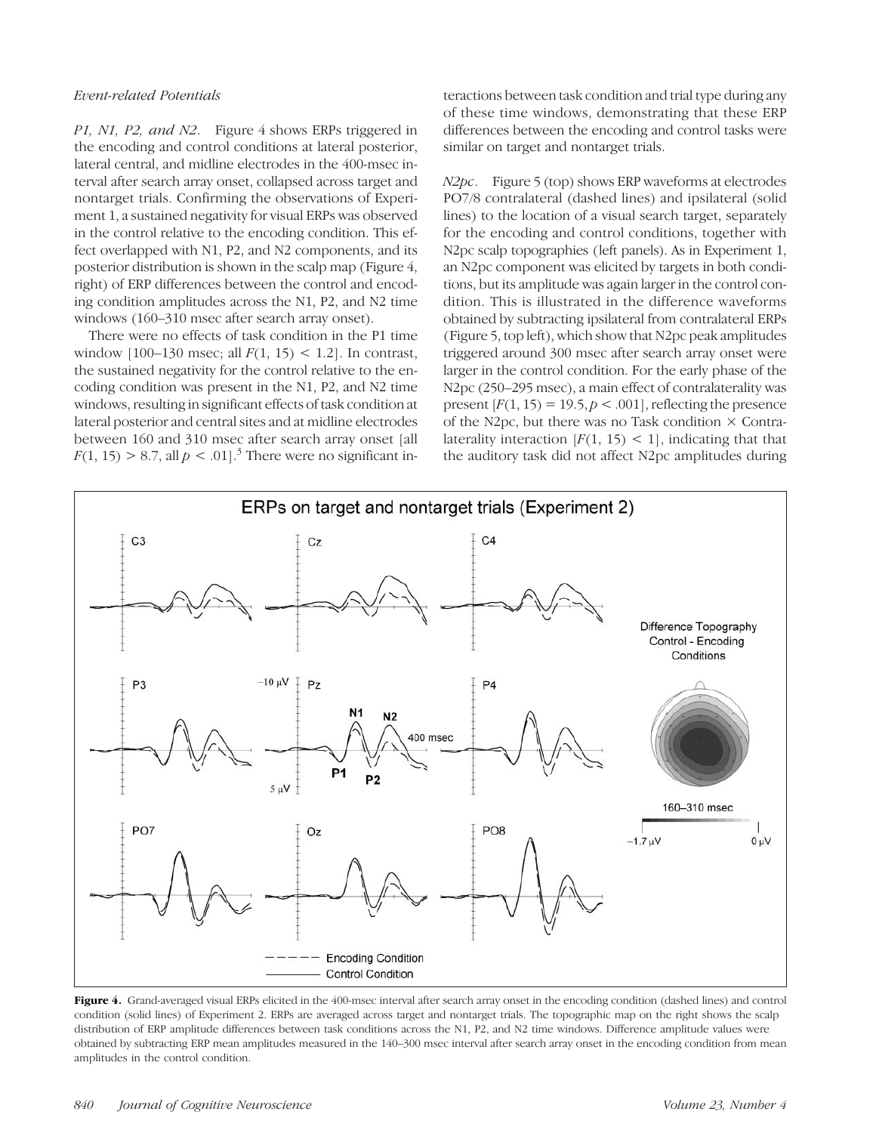# Event-related Potentials

P1, N1, P2, and N2. Figure 4 shows ERPs triggered in the encoding and control conditions at lateral posterior, lateral central, and midline electrodes in the 400-msec interval after search array onset, collapsed across target and nontarget trials. Confirming the observations of Experiment 1, a sustained negativity for visual ERPs was observed in the control relative to the encoding condition. This effect overlapped with N1, P2, and N2 components, and its posterior distribution is shown in the scalp map (Figure 4, right) of ERP differences between the control and encoding condition amplitudes across the N1, P2, and N2 time windows (160–310 msec after search array onset).

There were no effects of task condition in the P1 time window  $[100-130 \text{ msec}; \text{ all } F(1, 15) < 1.2]$ . In contrast, the sustained negativity for the control relative to the encoding condition was present in the N1, P2, and N2 time windows, resulting in significant effects of task condition at lateral posterior and central sites and at midline electrodes between 160 and 310 msec after search array onset [all  $F(1, 15) > 8.7$ , all  $p < .01$ .<sup>3</sup> There were no significant interactions between task condition and trial type during any of these time windows, demonstrating that these ERP differences between the encoding and control tasks were similar on target and nontarget trials.

N2pc. Figure 5 (top) shows ERP waveforms at electrodes PO7/8 contralateral (dashed lines) and ipsilateral (solid lines) to the location of a visual search target, separately for the encoding and control conditions, together with N2pc scalp topographies (left panels). As in Experiment 1, an N2pc component was elicited by targets in both conditions, but its amplitude was again larger in the control condition. This is illustrated in the difference waveforms obtained by subtracting ipsilateral from contralateral ERPs (Figure 5, top left), which show that N2pc peak amplitudes triggered around 300 msec after search array onset were larger in the control condition. For the early phase of the N2pc (250–295 msec), a main effect of contralaterality was present  $[F(1, 15) = 19.5, p < .001]$ , reflecting the presence of the N2pc, but there was no Task condition  $\times$  Contralaterality interaction  $[F(1, 15) < 1]$ , indicating that that the auditory task did not affect N2pc amplitudes during



Figure 4. Grand-averaged visual ERPs elicited in the 400-msec interval after search array onset in the encoding condition (dashed lines) and control condition (solid lines) of Experiment 2. ERPs are averaged across target and nontarget trials. The topographic map on the right shows the scalp distribution of ERP amplitude differences between task conditions across the N1, P2, and N2 time windows. Difference amplitude values were obtained by subtracting ERP mean amplitudes measured in the 140–300 msec interval after search array onset in the encoding condition from mean amplitudes in the control condition.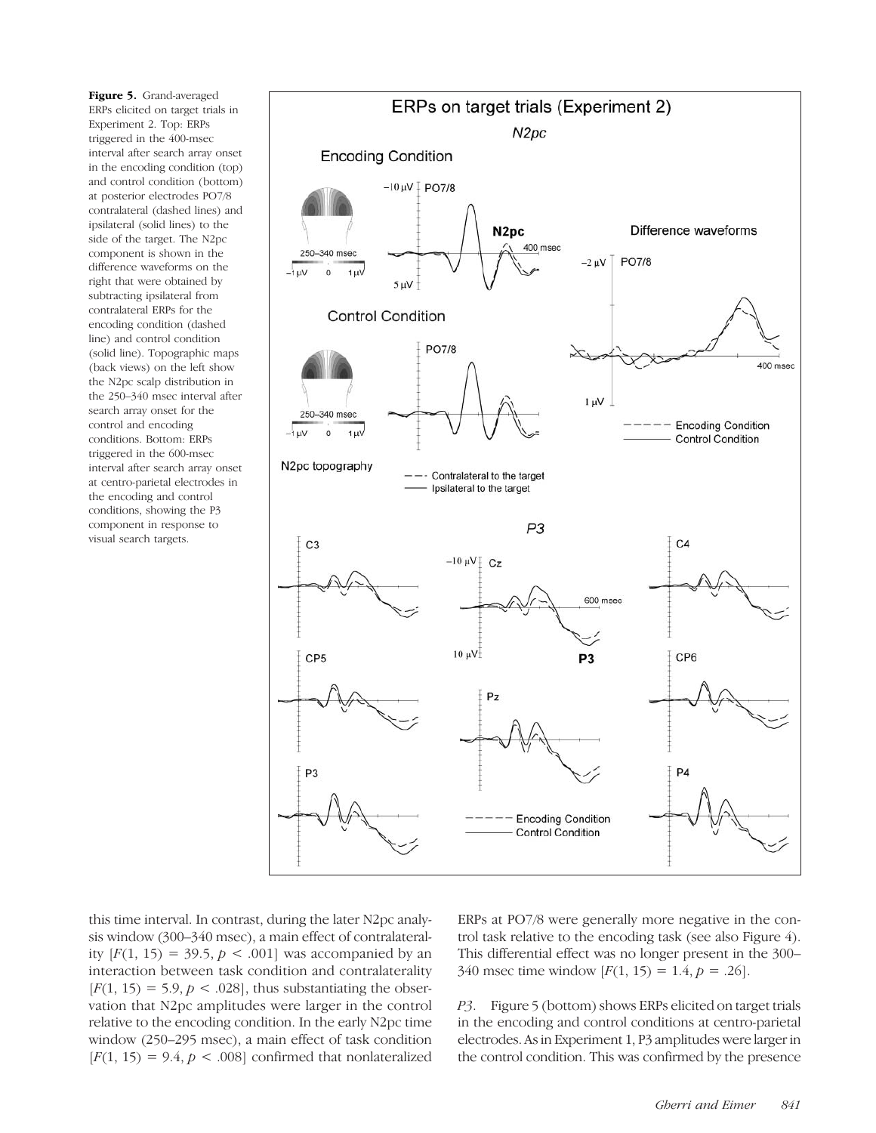Figure 5. Grand-averaged ERPs elicited on target trials in Experiment 2. Top: ERPs triggered in the 400-msec interval after search array onset in the encoding condition (top) and control condition (bottom) at posterior electrodes PO7/8 contralateral (dashed lines) and ipsilateral (solid lines) to the side of the target. The N2pc component is shown in the difference waveforms on the right that were obtained by subtracting ipsilateral from contralateral ERPs for the encoding condition (dashed line) and control condition (solid line). Topographic maps (back views) on the left show the N2pc scalp distribution in the 250–340 msec interval after search array onset for the control and encoding conditions. Bottom: ERPs triggered in the 600-msec interval after search array onset at centro-parietal electrodes in the encoding and control conditions, showing the P3 component in response to visual search targets.



this time interval. In contrast, during the later N2pc analysis window (300–340 msec), a main effect of contralaterality  $[F(1, 15) = 39.5, p < .001]$  was accompanied by an interaction between task condition and contralaterality  $[F(1, 15) = 5.9, p < .028]$ , thus substantiating the observation that N2pc amplitudes were larger in the control relative to the encoding condition. In the early N2pc time window (250–295 msec), a main effect of task condition  $[F(1, 15) = 9.4, p < .008]$  confirmed that nonlateralized

ERPs at PO7/8 were generally more negative in the control task relative to the encoding task (see also Figure 4). This differential effect was no longer present in the 300– 340 msec time window  $[F(1, 15) = 1.4, p = .26]$ .

P3. Figure 5 (bottom) shows ERPs elicited on target trials in the encoding and control conditions at centro-parietal electrodes. As in Experiment 1, P3 amplitudes were larger in the control condition. This was confirmed by the presence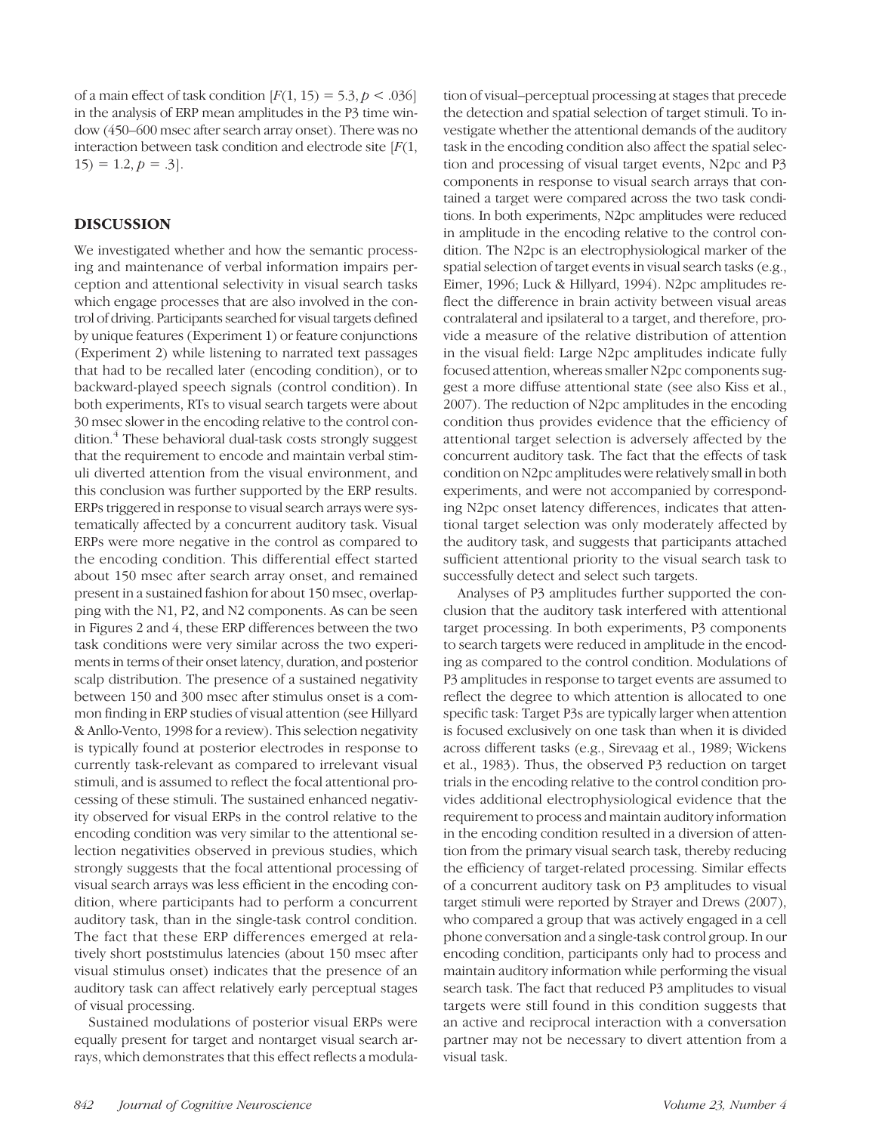of a main effect of task condition  $[F(1, 15) = 5.3, p < .036]$ in the analysis of ERP mean amplitudes in the P3 time window (450–600 msec after search array onset). There was no interaction between task condition and electrode site  $[F(1,$  $15) = 1.2, p = .3$ .

# DISCUSSION

We investigated whether and how the semantic processing and maintenance of verbal information impairs perception and attentional selectivity in visual search tasks which engage processes that are also involved in the control of driving. Participants searched for visual targets defined by unique features (Experiment 1) or feature conjunctions (Experiment 2) while listening to narrated text passages that had to be recalled later (encoding condition), or to backward-played speech signals (control condition). In both experiments, RTs to visual search targets were about 30 msec slower in the encoding relative to the control condition.<sup>4</sup> These behavioral dual-task costs strongly suggest that the requirement to encode and maintain verbal stimuli diverted attention from the visual environment, and this conclusion was further supported by the ERP results. ERPs triggered in response to visual search arrays were systematically affected by a concurrent auditory task. Visual ERPs were more negative in the control as compared to the encoding condition. This differential effect started about 150 msec after search array onset, and remained present in a sustained fashion for about 150 msec, overlapping with the N1, P2, and N2 components. As can be seen in Figures 2 and 4, these ERP differences between the two task conditions were very similar across the two experiments in terms of their onset latency, duration, and posterior scalp distribution. The presence of a sustained negativity between 150 and 300 msec after stimulus onset is a common finding in ERP studies of visual attention (see Hillyard & Anllo-Vento, 1998 for a review). This selection negativity is typically found at posterior electrodes in response to currently task-relevant as compared to irrelevant visual stimuli, and is assumed to reflect the focal attentional processing of these stimuli. The sustained enhanced negativity observed for visual ERPs in the control relative to the encoding condition was very similar to the attentional selection negativities observed in previous studies, which strongly suggests that the focal attentional processing of visual search arrays was less efficient in the encoding condition, where participants had to perform a concurrent auditory task, than in the single-task control condition. The fact that these ERP differences emerged at relatively short poststimulus latencies (about 150 msec after visual stimulus onset) indicates that the presence of an auditory task can affect relatively early perceptual stages of visual processing.

Sustained modulations of posterior visual ERPs were equally present for target and nontarget visual search arrays, which demonstrates that this effect reflects a modulation of visual–perceptual processing at stages that precede the detection and spatial selection of target stimuli. To investigate whether the attentional demands of the auditory task in the encoding condition also affect the spatial selection and processing of visual target events, N2pc and P3 components in response to visual search arrays that contained a target were compared across the two task conditions. In both experiments, N2pc amplitudes were reduced in amplitude in the encoding relative to the control condition. The N2pc is an electrophysiological marker of the spatial selection of target events in visual search tasks (e.g., Eimer, 1996; Luck & Hillyard, 1994). N2pc amplitudes reflect the difference in brain activity between visual areas contralateral and ipsilateral to a target, and therefore, provide a measure of the relative distribution of attention in the visual field: Large N2pc amplitudes indicate fully focused attention, whereas smaller N2pc components suggest a more diffuse attentional state (see also Kiss et al., 2007). The reduction of N2pc amplitudes in the encoding condition thus provides evidence that the efficiency of attentional target selection is adversely affected by the concurrent auditory task. The fact that the effects of task condition on N2pc amplitudes were relatively small in both experiments, and were not accompanied by corresponding N2pc onset latency differences, indicates that attentional target selection was only moderately affected by the auditory task, and suggests that participants attached sufficient attentional priority to the visual search task to successfully detect and select such targets.

Analyses of P3 amplitudes further supported the conclusion that the auditory task interfered with attentional target processing. In both experiments, P3 components to search targets were reduced in amplitude in the encoding as compared to the control condition. Modulations of P3 amplitudes in response to target events are assumed to reflect the degree to which attention is allocated to one specific task: Target P3s are typically larger when attention is focused exclusively on one task than when it is divided across different tasks (e.g., Sirevaag et al., 1989; Wickens et al., 1983). Thus, the observed P3 reduction on target trials in the encoding relative to the control condition provides additional electrophysiological evidence that the requirement to process and maintain auditory information in the encoding condition resulted in a diversion of attention from the primary visual search task, thereby reducing the efficiency of target-related processing. Similar effects of a concurrent auditory task on P3 amplitudes to visual target stimuli were reported by Strayer and Drews (2007), who compared a group that was actively engaged in a cell phone conversation and a single-task control group. In our encoding condition, participants only had to process and maintain auditory information while performing the visual search task. The fact that reduced P3 amplitudes to visual targets were still found in this condition suggests that an active and reciprocal interaction with a conversation partner may not be necessary to divert attention from a visual task.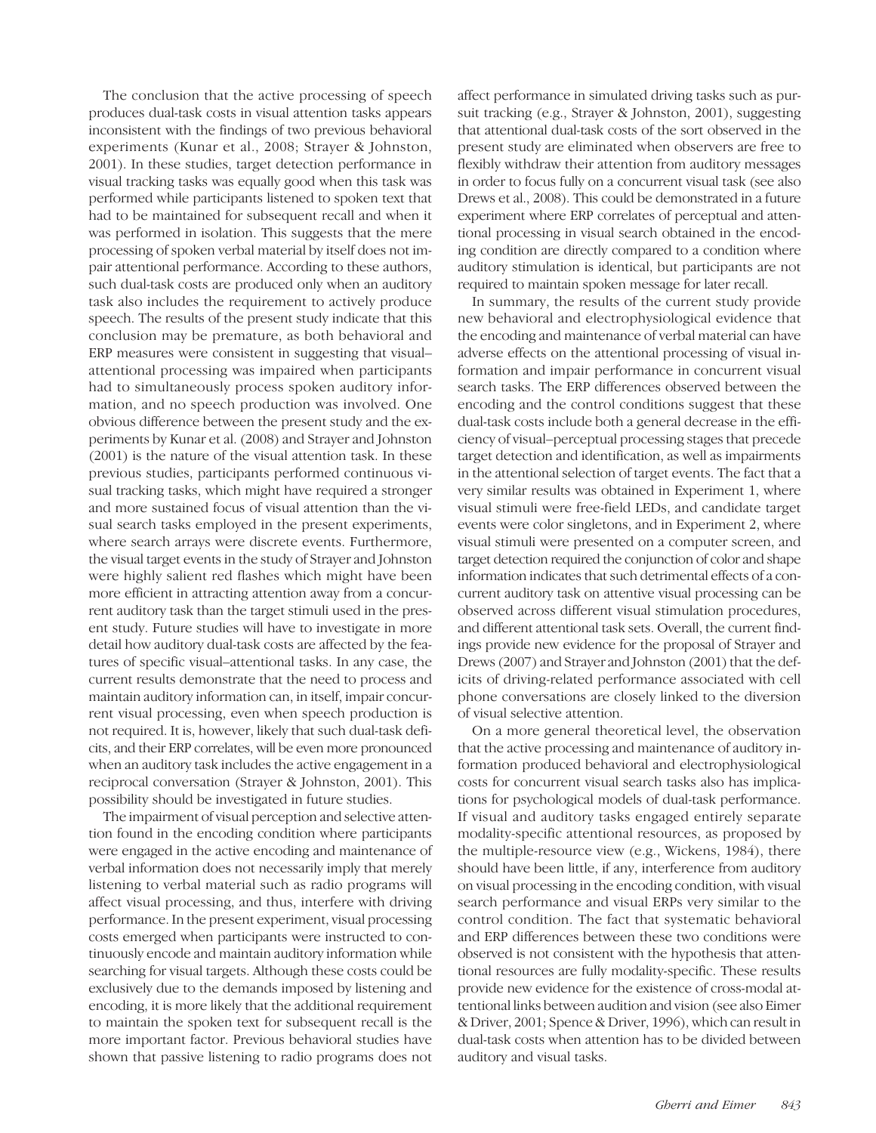The conclusion that the active processing of speech produces dual-task costs in visual attention tasks appears inconsistent with the findings of two previous behavioral experiments (Kunar et al., 2008; Strayer & Johnston, 2001). In these studies, target detection performance in visual tracking tasks was equally good when this task was performed while participants listened to spoken text that had to be maintained for subsequent recall and when it was performed in isolation. This suggests that the mere processing of spoken verbal material by itself does not impair attentional performance. According to these authors, such dual-task costs are produced only when an auditory task also includes the requirement to actively produce speech. The results of the present study indicate that this conclusion may be premature, as both behavioral and ERP measures were consistent in suggesting that visual– attentional processing was impaired when participants had to simultaneously process spoken auditory information, and no speech production was involved. One obvious difference between the present study and the experiments by Kunar et al. (2008) and Strayer and Johnston (2001) is the nature of the visual attention task. In these previous studies, participants performed continuous visual tracking tasks, which might have required a stronger and more sustained focus of visual attention than the visual search tasks employed in the present experiments, where search arrays were discrete events. Furthermore, the visual target events in the study of Strayer and Johnston were highly salient red flashes which might have been more efficient in attracting attention away from a concurrent auditory task than the target stimuli used in the present study. Future studies will have to investigate in more detail how auditory dual-task costs are affected by the features of specific visual–attentional tasks. In any case, the current results demonstrate that the need to process and maintain auditory information can, in itself, impair concurrent visual processing, even when speech production is not required. It is, however, likely that such dual-task deficits, and their ERP correlates, will be even more pronounced when an auditory task includes the active engagement in a reciprocal conversation (Strayer & Johnston, 2001). This possibility should be investigated in future studies.

The impairment of visual perception and selective attention found in the encoding condition where participants were engaged in the active encoding and maintenance of verbal information does not necessarily imply that merely listening to verbal material such as radio programs will affect visual processing, and thus, interfere with driving performance. In the present experiment, visual processing costs emerged when participants were instructed to continuously encode and maintain auditory information while searching for visual targets. Although these costs could be exclusively due to the demands imposed by listening and encoding, it is more likely that the additional requirement to maintain the spoken text for subsequent recall is the more important factor. Previous behavioral studies have shown that passive listening to radio programs does not

affect performance in simulated driving tasks such as pursuit tracking (e.g., Strayer & Johnston, 2001), suggesting that attentional dual-task costs of the sort observed in the present study are eliminated when observers are free to flexibly withdraw their attention from auditory messages in order to focus fully on a concurrent visual task (see also Drews et al., 2008). This could be demonstrated in a future experiment where ERP correlates of perceptual and attentional processing in visual search obtained in the encoding condition are directly compared to a condition where auditory stimulation is identical, but participants are not required to maintain spoken message for later recall.

In summary, the results of the current study provide new behavioral and electrophysiological evidence that the encoding and maintenance of verbal material can have adverse effects on the attentional processing of visual information and impair performance in concurrent visual search tasks. The ERP differences observed between the encoding and the control conditions suggest that these dual-task costs include both a general decrease in the efficiency of visual–perceptual processing stages that precede target detection and identification, as well as impairments in the attentional selection of target events. The fact that a very similar results was obtained in Experiment 1, where visual stimuli were free-field LEDs, and candidate target events were color singletons, and in Experiment 2, where visual stimuli were presented on a computer screen, and target detection required the conjunction of color and shape information indicates that such detrimental effects of a concurrent auditory task on attentive visual processing can be observed across different visual stimulation procedures, and different attentional task sets. Overall, the current findings provide new evidence for the proposal of Strayer and Drews (2007) and Strayer and Johnston (2001) that the deficits of driving-related performance associated with cell phone conversations are closely linked to the diversion of visual selective attention.

On a more general theoretical level, the observation that the active processing and maintenance of auditory information produced behavioral and electrophysiological costs for concurrent visual search tasks also has implications for psychological models of dual-task performance. If visual and auditory tasks engaged entirely separate modality-specific attentional resources, as proposed by the multiple-resource view (e.g., Wickens, 1984), there should have been little, if any, interference from auditory on visual processing in the encoding condition, with visual search performance and visual ERPs very similar to the control condition. The fact that systematic behavioral and ERP differences between these two conditions were observed is not consistent with the hypothesis that attentional resources are fully modality-specific. These results provide new evidence for the existence of cross-modal attentional links between audition and vision (see also Eimer & Driver, 2001; Spence & Driver, 1996), which can result in dual-task costs when attention has to be divided between auditory and visual tasks.